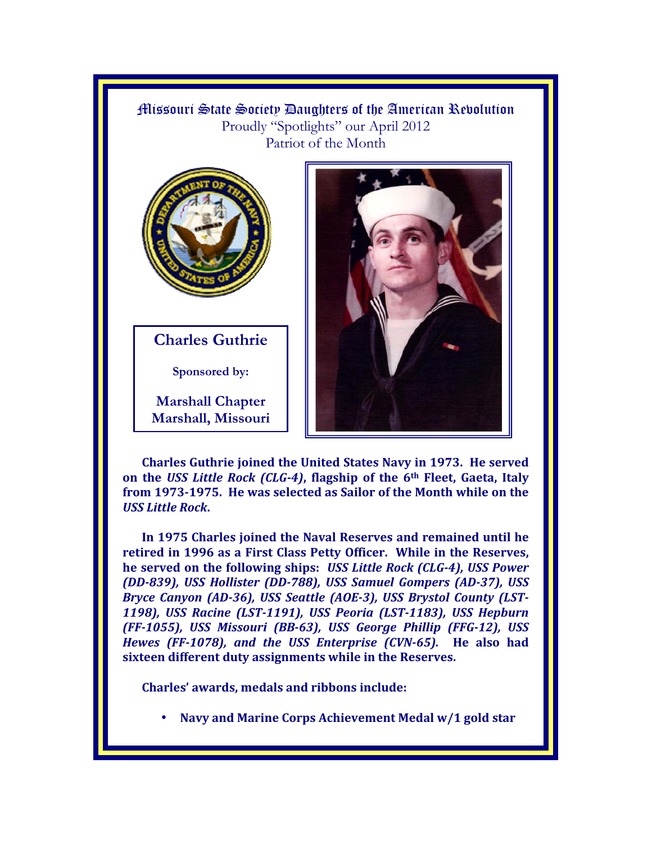Missouri State Society Daughters of the American Revolution Proudly "Spotlights" our April 2012 Patriot of the Month



**Charles Guthrie** 

**Sponsored by:** 

**Marshall Chapter Marshall, Missouri** 



**Charles Guthrie joined the United States Navy in 1973. He served on the** *USS Little Rock (CLG-4)***, flagship of the 6th Fleet, Gaeta, Italy from 1973-1975. He was selected as Sailor of the Month while on the**  *USS Little Rock***.** 

**In 1975 Charles joined the Naval Reserves and remained until he retired in 1996 as a First Class Petty Officer. While in the Reserves, he served on the following ships:** *USS Little Rock (CLG-4), USS Power (DD-839), USS Hollister (DD-788), USS Samuel Gompers (AD-37), USS Bryce Canyon (AD-36), USS Seattle (AOE-3), USS Brystol County (LST-1198), USS Racine (LST-1191), USS Peoria (LST-1183), USS Hepburn (FF-1055), USS Missouri (BB-63), USS George Phillip (FFG-12), USS Hewes (FF-1078), and the USS Enterprise (CVN-65).* **He also had sixteen different duty assignments while in the Reserves.** 

**Charles' awards, medals and ribbons include:** 

• **Navy and Marine Corps Achievement Medal w/1 gold star**